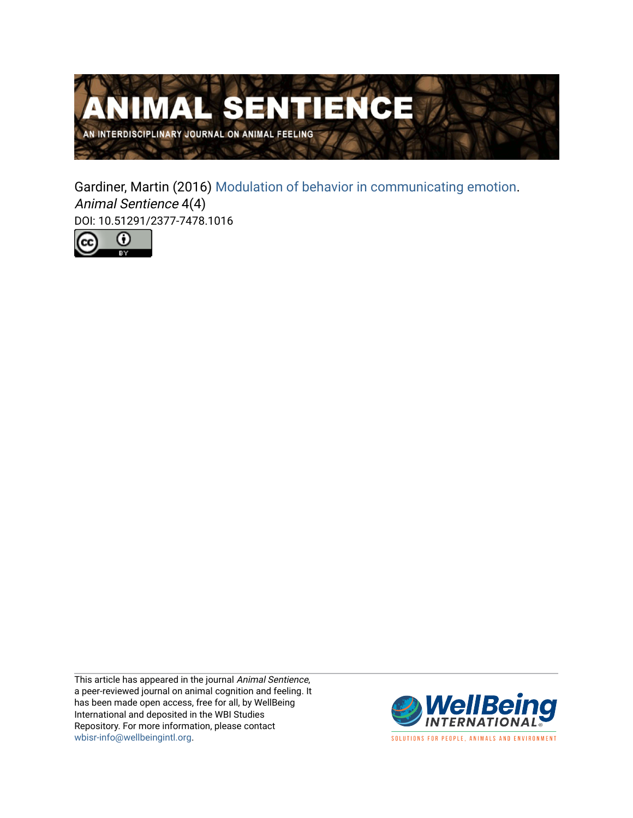

Gardiner, Martin (2016) [Modulation of behavior in communicating emotion.](https://www.wellbeingintlstudiesrepository.org/animsent/vol1/iss4/4) Animal Sentience 4(4) DOI: 10.51291/2377-7478.1016



This article has appeared in the journal Animal Sentience, a peer-reviewed journal on animal cognition and feeling. It has been made open access, free for all, by WellBeing International and deposited in the WBI Studies Repository. For more information, please contact [wbisr-info@wellbeingintl.org](mailto:wbisr-info@wellbeingintl.org).



SOLUTIONS FOR PEOPLE, ANIMALS AND ENVIRONMENT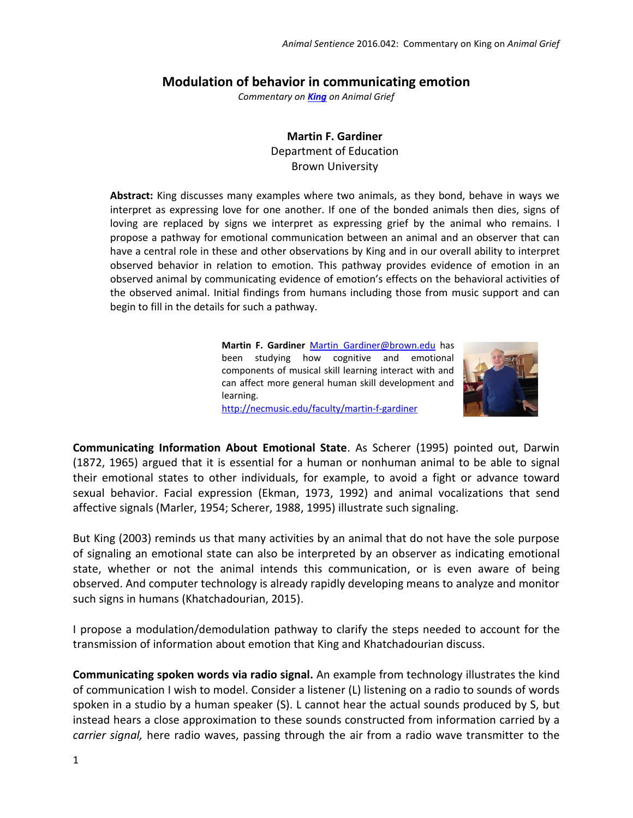## **Modulation of behavior in communicating emotion**

*Commentary on [King](http://animalstudiesrepository.org/animsent/vol1/iss4/1/) on Animal Grief*

**Martin F. Gardiner** Department of Education Brown University

**Abstract:** King discusses many examples where two animals, as they bond, behave in ways we interpret as expressing love for one another. If one of the bonded animals then dies, signs of loving are replaced by signs we interpret as expressing grief by the animal who remains. I propose a pathway for emotional communication between an animal and an observer that can have a central role in these and other observations by King and in our overall ability to interpret observed behavior in relation to emotion. This pathway provides evidence of emotion in an observed animal by communicating evidence of emotion's effects on the behavioral activities of the observed animal. Initial findings from humans including those from music support and can begin to fill in the details for such a pathway.

> Martin F. Gardiner Martin Gardiner@brown.edu has been studying how cognitive and emotional components of musical skill learning interact with and can affect more general human skill development and learning. <http://necmusic.edu/faculty/martin-f-gardiner>



**Communicating Information About Emotional State**. As Scherer (1995) pointed out, Darwin (1872, 1965) argued that it is essential for a human or nonhuman animal to be able to signal their emotional states to other individuals, for example, to avoid a fight or advance toward sexual behavior. Facial expression (Ekman, 1973, 1992) and animal vocalizations that send affective signals (Marler, 1954; Scherer, 1988, 1995) illustrate such signaling.

But King (2003) reminds us that many activities by an animal that do not have the sole purpose of signaling an emotional state can also be interpreted by an observer as indicating emotional state, whether or not the animal intends this communication, or is even aware of being observed. And computer technology is already rapidly developing means to analyze and monitor such signs in humans (Khatchadourian, 2015).

I propose a modulation/demodulation pathway to clarify the steps needed to account for the transmission of information about emotion that King and Khatchadourian discuss.

**Communicating spoken words via radio signal.** An example from technology illustrates the kind of communication I wish to model. Consider a listener (L) listening on a radio to sounds of words spoken in a studio by a human speaker (S). L cannot hear the actual sounds produced by S, but instead hears a close approximation to these sounds constructed from information carried by a *carrier signal,* here radio waves, passing through the air from a radio wave transmitter to the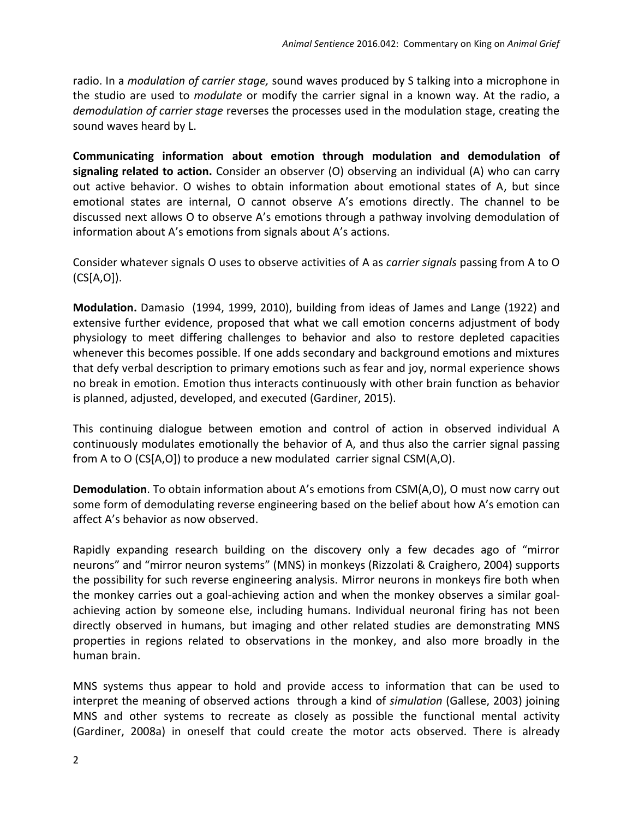radio. In a *modulation of carrier stage,* sound waves produced by S talking into a microphone in the studio are used to *modulate* or modify the carrier signal in a known way. At the radio, a *demodulation of carrier stage* reverses the processes used in the modulation stage, creating the sound waves heard by L.

**Communicating information about emotion through modulation and demodulation of signaling related to action.** Consider an observer (O) observing an individual (A) who can carry out active behavior. O wishes to obtain information about emotional states of A, but since emotional states are internal, O cannot observe A's emotions directly. The channel to be discussed next allows O to observe A's emotions through a pathway involving demodulation of information about A's emotions from signals about A's actions.

Consider whatever signals O uses to observe activities of A as *carrier signals* passing from A to O (CS[A,O]).

**Modulation.** Damasio (1994, 1999, 2010), building from ideas of James and Lange (1922) and extensive further evidence, proposed that what we call emotion concerns adjustment of body physiology to meet differing challenges to behavior and also to restore depleted capacities whenever this becomes possible. If one adds secondary and background emotions and mixtures that defy verbal description to primary emotions such as fear and joy, normal experience shows no break in emotion. Emotion thus interacts continuously with other brain function as behavior is planned, adjusted, developed, and executed (Gardiner, 2015).

This continuing dialogue between emotion and control of action in observed individual A continuously modulates emotionally the behavior of A, and thus also the carrier signal passing from A to O (CS[A,O]) to produce a new modulated carrier signal CSM(A,O).

**Demodulation**. To obtain information about A's emotions from CSM(A,O), O must now carry out some form of demodulating reverse engineering based on the belief about how A's emotion can affect A's behavior as now observed.

Rapidly expanding research building on the discovery only a few decades ago of "mirror neurons" and "mirror neuron systems" (MNS) in monkeys (Rizzolati & Craighero, 2004) supports the possibility for such reverse engineering analysis. Mirror neurons in monkeys fire both when the monkey carries out a goal-achieving action and when the monkey observes a similar goalachieving action by someone else, including humans. Individual neuronal firing has not been directly observed in humans, but imaging and other related studies are demonstrating MNS properties in regions related to observations in the monkey, and also more broadly in the human brain.

MNS systems thus appear to hold and provide access to information that can be used to interpret the meaning of observed actions through a kind of *simulation* (Gallese, 2003) joining MNS and other systems to recreate as closely as possible the functional mental activity (Gardiner, 2008a) in oneself that could create the motor acts observed. There is already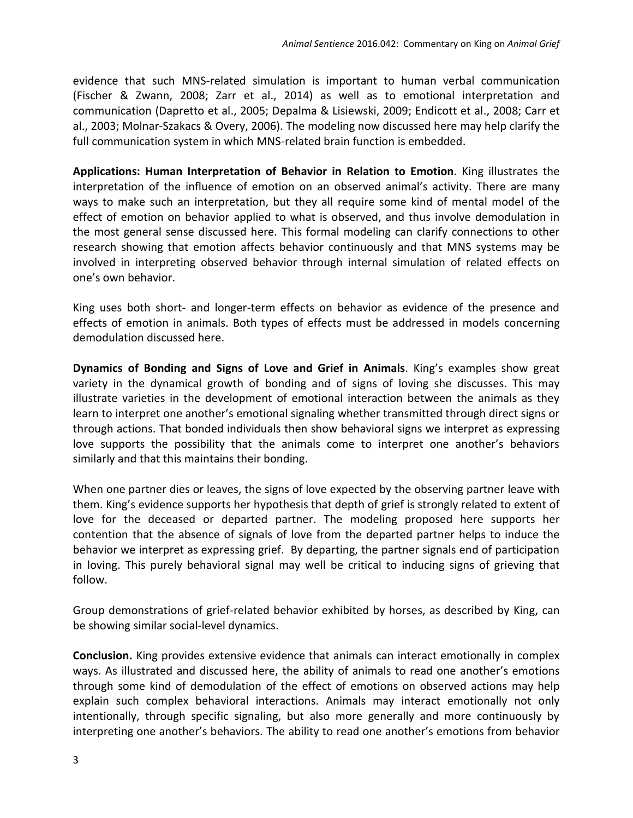evidence that such MNS-related simulation is important to human verbal communication (Fischer & Zwann, 2008; Zarr et al., 2014) as well as to emotional interpretation and communication (Dapretto et al., 2005; Depalma & Lisiewski, 2009; Endicott et al., 2008; Carr et al., 2003; Molnar-Szakacs & Overy, 2006). The modeling now discussed here may help clarify the full communication system in which MNS-related brain function is embedded.

**Applications: Human Interpretation of Behavior in Relation to Emotion**. King illustrates the interpretation of the influence of emotion on an observed animal's activity. There are many ways to make such an interpretation, but they all require some kind of mental model of the effect of emotion on behavior applied to what is observed, and thus involve demodulation in the most general sense discussed here. This formal modeling can clarify connections to other research showing that emotion affects behavior continuously and that MNS systems may be involved in interpreting observed behavior through internal simulation of related effects on one's own behavior.

King uses both short- and longer-term effects on behavior as evidence of the presence and effects of emotion in animals. Both types of effects must be addressed in models concerning demodulation discussed here.

**Dynamics of Bonding and Signs of Love and Grief in Animals**. King's examples show great variety in the dynamical growth of bonding and of signs of loving she discusses. This may illustrate varieties in the development of emotional interaction between the animals as they learn to interpret one another's emotional signaling whether transmitted through direct signs or through actions. That bonded individuals then show behavioral signs we interpret as expressing love supports the possibility that the animals come to interpret one another's behaviors similarly and that this maintains their bonding.

When one partner dies or leaves, the signs of love expected by the observing partner leave with them. King's evidence supports her hypothesis that depth of grief is strongly related to extent of love for the deceased or departed partner. The modeling proposed here supports her contention that the absence of signals of love from the departed partner helps to induce the behavior we interpret as expressing grief. By departing, the partner signals end of participation in loving. This purely behavioral signal may well be critical to inducing signs of grieving that follow.

Group demonstrations of grief-related behavior exhibited by horses, as described by King, can be showing similar social-level dynamics.

**Conclusion.** King provides extensive evidence that animals can interact emotionally in complex ways. As illustrated and discussed here, the ability of animals to read one another's emotions through some kind of demodulation of the effect of emotions on observed actions may help explain such complex behavioral interactions. Animals may interact emotionally not only intentionally, through specific signaling, but also more generally and more continuously by interpreting one another's behaviors. The ability to read one another's emotions from behavior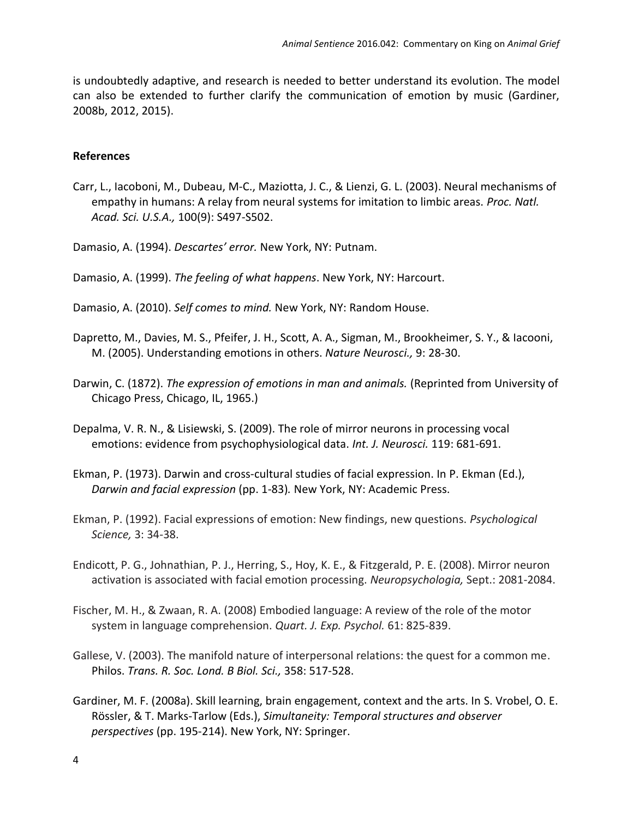is undoubtedly adaptive, and research is needed to better understand its evolution. The model can also be extended to further clarify the communication of emotion by music (Gardiner, 2008b, 2012, 2015).

## **References**

- Carr, L., Iacoboni, M., Dubeau, M-C., Maziotta, J. C., & Lienzi, G. L. (2003). Neural mechanisms of empathy in humans: A relay from neural systems for imitation to limbic areas. *Proc. Natl. Acad. Sci. U.S.A.,* 100(9): S497-S502.
- Damasio, A. (1994). *Descartes' error.* New York, NY: Putnam.
- Damasio, A. (1999). *The feeling of what happens*. New York, NY: Harcourt.
- Damasio, A. (2010). *Self comes to mind.* New York, NY: Random House.
- Dapretto, M., Davies, M. S., Pfeifer, J. H., Scott, A. A., Sigman, M., Brookheimer, S. Y., & Iacooni, M. (2005). Understanding emotions in others. *Nature Neurosci.,* 9: 28-30.
- Darwin, C. (1872). *The expression of emotions in man and animals.* (Reprinted from University of Chicago Press, Chicago, IL, 1965.)
- Depalma, V. R. N., & Lisiewski, S. (2009). The role of mirror neurons in processing vocal emotions: evidence from psychophysiological data. *Int. J. Neurosci.* 119: 681-691.
- Ekman, P. (1973). Darwin and cross-cultural studies of facial expression. In P. Ekman (Ed.), *Darwin and facial expression* (pp. 1-83)*.* New York, NY: Academic Press.
- Ekman, P. (1992). Facial expressions of emotion: New findings, new questions. *Psychological Science,* 3: 34-38.
- Endicott, P. G., Johnathian, P. J., Herring, S., Hoy, K. E., & Fitzgerald, P. E. (2008). Mirror neuron activation is associated with facial emotion processing. *Neuropsychologia,* Sept.: 2081-2084.
- Fischer, M. H., & Zwaan, R. A. (2008) Embodied language: A review of the role of the motor system in language comprehension. *Quart. J. Exp. Psychol.* 61: 825-839.
- Gallese, V. (2003). The manifold nature of interpersonal relations: the quest for a common me. Philos. *Trans. R. Soc. Lond. B Biol. Sci.,* 358: 517-528.
- Gardiner, M. F. (2008a). Skill learning, brain engagement, context and the arts. In S. Vrobel, O. E. Rössler, & T. Marks-Tarlow (Eds.), *Simultaneity: Temporal structures and observer perspectives* (pp. 195-214). New York, NY: Springer.